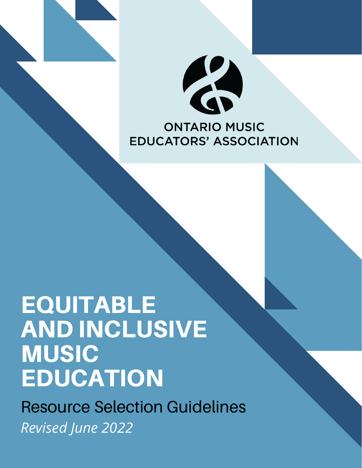

# **EQUITABLE** AND INCLUSIVE **MUSIC EDUCATION**

Resource Selection Guidelines *Revised June 2022*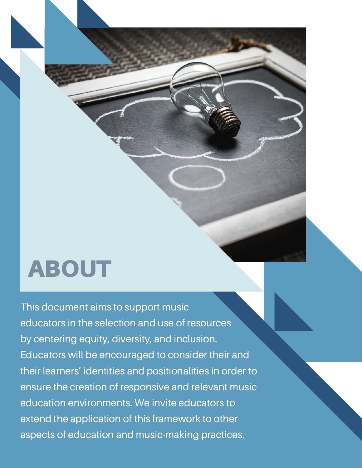# ABOUT

This document aims to support music educators in the selection and use of resources by centering equity, diversity, and inclusion. Educators will be encouraged to consider their and their learners' identities and positionalities in order to ensure the creation of responsive and relevant music education environments. We invite educators to extend the application of this framework to other aspects of education and music-making practices.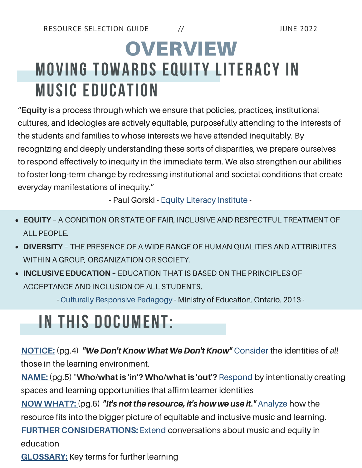# **MOVING TOWARDS EQUITY LITERACY IN MUSIC EDUCATION OVERVIEW**

"**Equity** is a process through which we ensure that policies, practices, institutional cultures, and ideologies are actively equitable, purposefully attending to the interests of the students and families to whose interests we have attended inequitably. By recognizing and deeply understanding these sorts of disparities, we prepare ourselves to respond effectively to inequity in the immediate term. We also strengthen our abilities to foster long-term change by redressing institutional and societal conditions that create everyday manifestations of inequity."

- Paul Gorski - Equity Literacy [Institute](http://www.edchange.org/handouts/Equity-Literacy-Intro-Abilities.pdf) -

- **EQUITY** A CONDITION OR STATE OF FAIR, INCLUSIVE AND RESPECTFUL TREATMENT OF ALL PEOPLE.
- **DIVERSITY** THE PRESENCE OF A WIDE RANGE OF HUMAN QUALITIES AND ATTRIBUTES WITHIN A GROUP, ORGANIZATION OR SOCIETY.
- **INCLUSIVE EDUCATION** EDUCATION THAT IS BASED ON THE PRINCIPLES OF ACCEPTANCE AND INCLUSION OF ALL STUDENTS.

- Culturally [Responsive](http://www.edu.gov.on.ca/eng/literacynumeracy/inspire/research/cbs_responsivepedagogy.pdf) Pedagogy - Ministry of Education, Ontario, 2013 -

# **IN THIS DOCUMENT:**

**[NOTICE:](#page-3-0)** (pg.4) "We Don't Know What We Don't Know" Consider the identities of all those in the learning environment.

**[NAME:](#page-4-0)** (pg.5) "**Who/what is 'in'? Who/what is 'out'?** Respond by intentionally creating spaces and learning opportunities that affirm learner identities

**NOW [WHAT?:](#page-5-0)** (pg.6) "It's not the resource, it's how we use it." Analyze how the resource fits into the bigger picture of equitable and inclusive music and learning. **FURTHER [CONSIDERATIONS:](#page-7-0)** Extend conversations about music and equity in education

**[GLOSSARY:](#page-8-0)** Key terms for further learning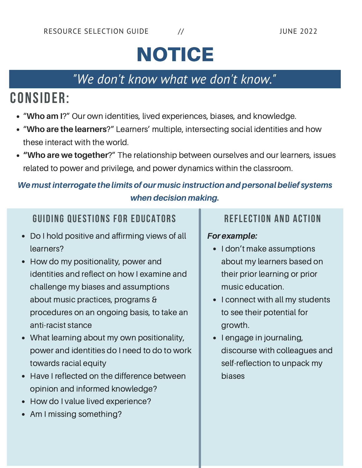# **NOTICE**

#### *"We don't know what we don't know."*

## <span id="page-3-0"></span>**CONSIDER:**

- "**Who am I**?" Our own identities, lived experiences, biases, and knowledge.
- "**Who are the learners**?" Learners' multiple, intersecting social identities and how these interact with the world.
- **"Who are we together**?" The relationship between ourselves and our learners, issues related to power and privilege, and power dynamics within the classroom.

#### We must interrogate the limits of our music instruction and personal belief systems when decision making.

#### **GUIDING QUESTIONS FOR EDUCATORS REFLECTION AND ACTION**

- Do I hold positive and affirming views of all learners?
- How do my positionality, power and identities and reflect on how I examine and challenge my biases and assumptions about music practices, programs & procedures on an ongoing basis, to take an anti-racist stance
- What learning about my own positionality, power and identities do I need to do to work towards racial equity
- Have I reflected on the difference between opinion and informed knowledge?
- How do I value lived experience?  $\bullet$
- Am I missing something?

#### For example:

- I don't make assumptions about my learners based on their prior learning or prior music education.
- I connect with all my students to see their potential for growth.
- I engage in journaling, discourse with colleagues and self-reflection to unpack my biases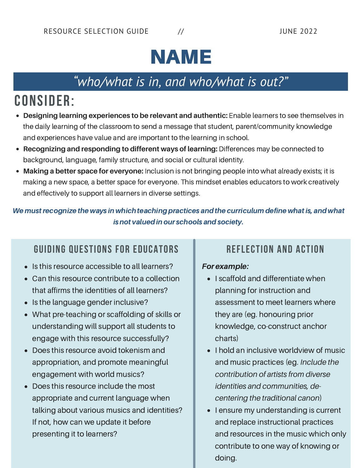# NAME

### *" who/what is in, and who/what is out?"*

## <span id="page-4-0"></span>**CONSIDER:**

- **Designing learning experiences to be relevant and authentic:** Enable learners to see themselves in the daily learning of the classroom to send a message that student, parent/community knowledge and experiences have value and are important to the learning in school.
- **Recognizing and responding to different ways of learning:** Differences may be connected to background, language, family structure, and social or cultural identity.
- **Making a better space for everyone:** Inclusion is not bringing people into what already exists; it is making a new space, a better space for everyone. This mindset enables educators to work creatively and effectively to support all learners in diverse settings.

We must recognize the ways in which teaching practices and the curriculum define what is, and what is not valued in our schools and society.

#### **GUIDING QUESTIONS FOR EDUCATORS REFLECTION AND ACTION**

- Is this resource accessible to all learners?
- Can this resource contribute to a collection that affirms the identities of all learners?
- Is the language gender inclusive?
- What pre-teaching or scaffolding of skills or understanding will support all students to engage with this resource successfully?
- Does this resource avoid tokenism and appropriation, and promote meaningful engagement with world musics?
- Does this resource include the most appropriate and current language when talking about various musics and identities? If not, how can we update it before presenting it to learners?

#### For example:

- I scaffold and differentiate when planning for instruction and assessment to meet learners where they are (eg. honouring prior knowledge, co-construct anchor charts)
- I hold an inclusive worldview of music and music practices (eg. *Include the contribution of artists from diverse identities and communities, decentering the traditional canon*)
- I ensure my understanding is current and replace instructional practices and resources in the music which only contribute to one way of knowing or doing.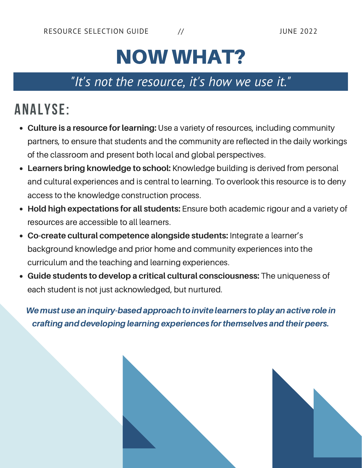# NOW WHAT?

#### *"It's not the resource, it's how we use it."*

## <span id="page-5-0"></span>**ANALYSE:**

- **Culture is a resource for learning:** Use a variety of resources, including community partners, to ensure that students and the community are reflected in the daily workings of the classroom and present both local and global perspectives.
- **Learners bring knowledge to school:** Knowledge building is derived from personal and cultural experiences and is central to learning. To overlook this resource is to deny access to the knowledge construction process.
- **Hold high expectations for all students:** Ensure both academic rigour and a variety of resources are accessible to all learners.
- **Co-create cultural competence alongside students:** Integrate a learner's background knowledge and prior home and community experiences into the curriculum and the teaching and learning experiences.
- **Guide students to develop a critical cultural consciousness:** The uniqueness of each student is not just acknowledged, but nurtured.

We must use an inquiry-based approach to invite learners to play an active role in crafting and developing learning experiences for themselves and their peers.

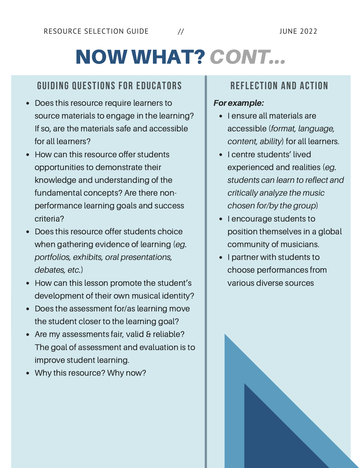# NOW WHAT? CONT...

#### **GUIDING QUESTIONS FOR EDUCATORS REFLECTION AND ACTION**

- Does this resource require learners to source materials to engage in the learning? If so, are the materials safe and accessible for all learners?
- How can this resource offer students opportunities to demonstrate their knowledge and understanding of the fundamental concepts? Are there nonperformance learning goals and success criteria?
- Does this resource offer students choice when gathering evidence of learning (*eg. portfolios, exhibits, oral presentations, debates, etc.*)
- How can this lesson promote the student's development of their own musical identity?
- Does the assessment for/as learning move  $\bullet$ the student closer to the learning goal?
- Are my assessments fair, valid & reliable? The goal of assessment and evaluation is to improve student learning.
- Why this resource? Why now?

#### For example:

- I ensure all materials are accessible (*format, language, content, ability*) for all learners.
- I centre students' lived experienced and realities (*eg. students can learn to reflect and critically analyze the music chosen for/by the group*)
- I encourage students to position themselves in a global community of musicians.
- I partner with students to choose performances from various diverse sources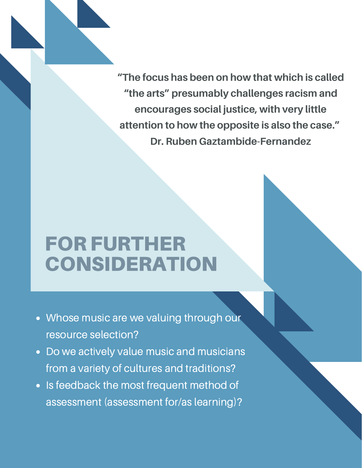<span id="page-7-0"></span>**"The focus has been on how that which is called "the arts" presumably challenges racism and encourages social justice, with very little attention to how the opposite is also the case." Dr. Ruben Gaztambide-Fernandez**

# FOR FURTHER CONSIDERATION

- Whose music are we valuing through our resource selection?
- Do we actively value music and musicians from a variety of cultures and traditions?
- . Is feedback the most frequent method of assessment (assessment for/as learning)?